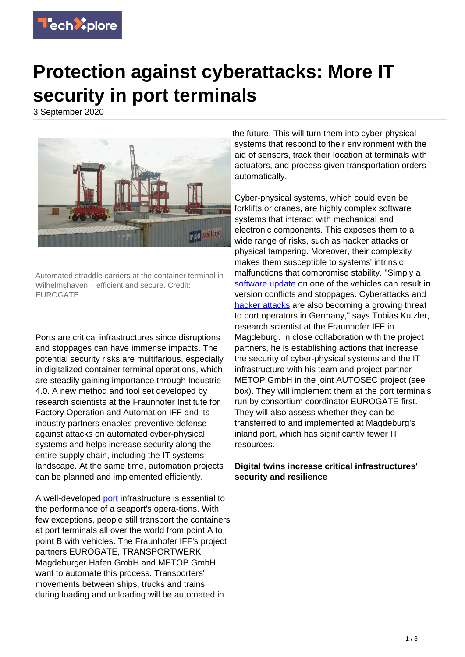

## **Protection against cyberattacks: More IT security in port terminals**

3 September 2020



Automated straddle carriers at the container terminal in Wilhelmshaven – efficient and secure. Credit: EUROGATE

Ports are critical infrastructures since disruptions and stoppages can have immense impacts. The potential security risks are multifarious, especially in digitalized container terminal operations, which are steadily gaining importance through Industrie 4.0. A new method and tool set developed by research scientists at the Fraunhofer Institute for Factory Operation and Automation IFF and its industry partners enables preventive defense against attacks on automated cyber-physical systems and helps increase security along the entire supply chain, including the IT systems landscape. At the same time, automation projects can be planned and implemented efficiently.

A well-developed [port](https://techxplore.com/tags/port/) infrastructure is essential to the performance of a seaport's opera-tions. With few exceptions, people still transport the containers at port terminals all over the world from point A to point B with vehicles. The Fraunhofer IFF's project partners EUROGATE, TRANSPORTWERK Magdeburger Hafen GmbH and METOP GmbH want to automate this process. Transporters' movements between ships, trucks and trains during loading and unloading will be automated in

the future. This will turn them into cyber-physical systems that respond to their environment with the aid of sensors, track their location at terminals with actuators, and process given transportation orders automatically.

Cyber-physical systems, which could even be forklifts or cranes, are highly complex software systems that interact with mechanical and electronic components. This exposes them to a wide range of risks, such as hacker attacks or physical tampering. Moreover, their complexity makes them susceptible to systems' intrinsic malfunctions that compromise stability. "Simply a [software update](https://techxplore.com/tags/software+update/) on one of the vehicles can result in version conflicts and stoppages. Cyberattacks and [hacker attacks](https://techxplore.com/tags/hacker+attacks/) are also becoming a growing threat to port operators in Germany," says Tobias Kutzler, research scientist at the Fraunhofer IFF in Magdeburg. In close collaboration with the project partners, he is establishing actions that increase the security of cyber-physical systems and the IT infrastructure with his team and project partner METOP GmbH in the joint AUTOSEC project (see box). They will implement them at the port terminals run by consortium coordinator EUROGATE first. They will also assess whether they can be transferred to and implemented at Magdeburg's inland port, which has significantly fewer IT resources.

## **Digital twins increase critical infrastructures' security and resilience**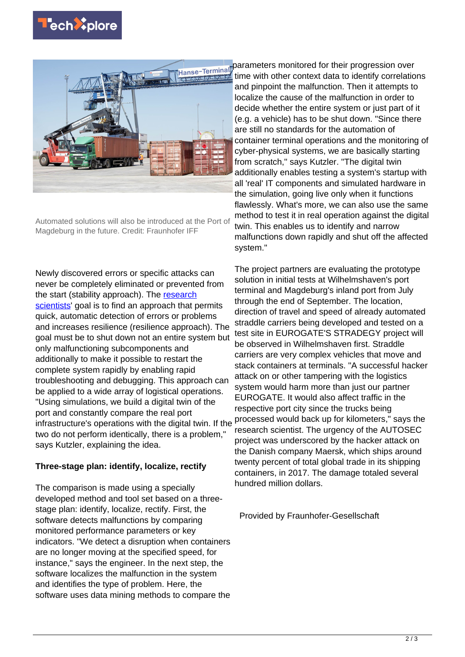



Automated solutions will also be introduced at the Port of Magdeburg in the future. Credit: Fraunhofer IFF

Newly discovered errors or specific attacks can never be completely eliminated or prevented from the start (stability approach). The [research](https://techxplore.com/tags/research+scientists/) [scientists](https://techxplore.com/tags/research+scientists/)' goal is to find an approach that permits quick, automatic detection of errors or problems and increases resilience (resilience approach). The goal must be to shut down not an entire system but only malfunctioning subcomponents and additionally to make it possible to restart the complete system rapidly by enabling rapid troubleshooting and debugging. This approach can be applied to a wide array of logistical operations. "Using simulations, we build a digital twin of the port and constantly compare the real port infrastructure's operations with the digital twin. If the two do not perform identically, there is a problem," says Kutzler, explaining the idea.

## **Three-stage plan: identify, localize, rectify**

The comparison is made using a specially developed method and tool set based on a threestage plan: identify, localize, rectify. First, the software detects malfunctions by comparing monitored performance parameters or key indicators. "We detect a disruption when containers are no longer moving at the specified speed, for instance," says the engineer. In the next step, the software localizes the malfunction in the system and identifies the type of problem. Here, the software uses data mining methods to compare the

**Filters** Parameters monitored for their progression over

time with other context data to identify correlations and pinpoint the malfunction. Then it attempts to localize the cause of the malfunction in order to decide whether the entire system or just part of it (e.g. a vehicle) has to be shut down. "Since there are still no standards for the automation of container terminal operations and the monitoring of cyber-physical systems, we are basically starting from scratch," says Kutzler. "The digital twin additionally enables testing a system's startup with all 'real' IT components and simulated hardware in the simulation, going live only when it functions flawlessly. What's more, we can also use the same method to test it in real operation against the digital twin. This enables us to identify and narrow malfunctions down rapidly and shut off the affected system."

The project partners are evaluating the prototype solution in initial tests at Wilhelmshaven's port terminal and Magdeburg's inland port from July through the end of September. The location, direction of travel and speed of already automated straddle carriers being developed and tested on a test site in EUROGATE'S STRADEGY project will be observed in Wilhelmshaven first. Straddle carriers are very complex vehicles that move and stack containers at terminals. "A successful hacker attack on or other tampering with the logistics system would harm more than just our partner EUROGATE. It would also affect traffic in the respective port city since the trucks being processed would back up for kilometers," says the research scientist. The urgency of the AUTOSEC project was underscored by the hacker attack on the Danish company Maersk, which ships around twenty percent of total global trade in its shipping containers, in 2017. The damage totaled several hundred million dollars.

Provided by Fraunhofer-Gesellschaft